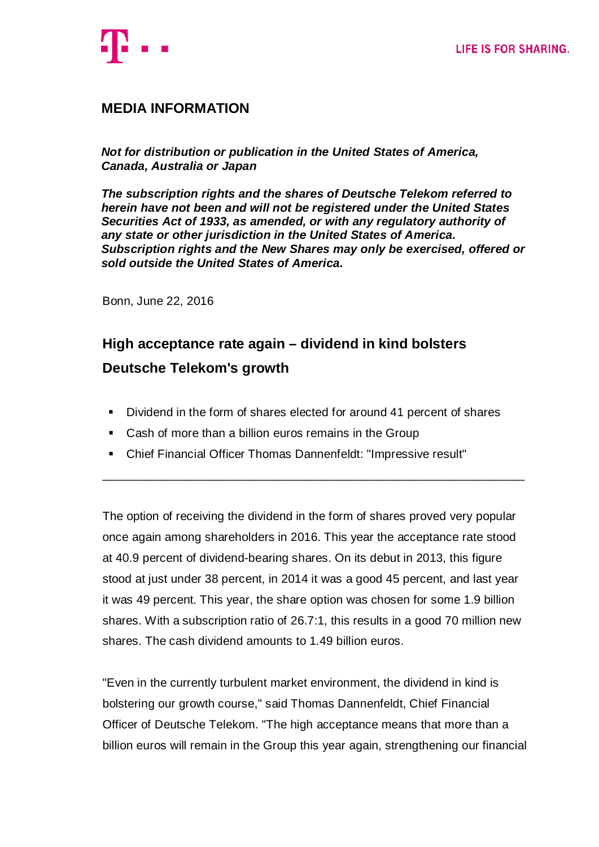

# **MEDIA INFORMATION**

*Not for distribution or publication in the United States of America, Canada, Australia or Japan*

*The subscription rights and the shares of Deutsche Telekom referred to herein have not been and will not be registered under the United States Securities Act of 1933, as amended, or with any regulatory authority of any state or other jurisdiction in the United States of America. Subscription rights and the New Shares may only be exercised, offered or sold outside the United States of America.*

Bonn, June 22, 2016

# **High acceptance rate again – dividend in kind bolsters Deutsche Telekom's growth**

Dividend in the form of shares elected for around 41 percent of shares

\_\_\_\_\_\_\_\_\_\_\_\_\_\_\_\_\_\_\_\_\_\_\_\_\_\_\_\_\_\_\_\_\_\_\_\_\_\_\_\_\_\_\_\_\_\_\_\_\_\_\_\_\_\_\_\_\_\_\_\_\_\_\_

- Cash of more than a billion euros remains in the Group
- Chief Financial Officer Thomas Dannenfeldt: "Impressive result"

The option of receiving the dividend in the form of shares proved very popular once again among shareholders in 2016. This year the acceptance rate stood at 40.9 percent of dividend-bearing shares. On its debut in 2013, this figure stood at just under 38 percent, in 2014 it was a good 45 percent, and last year it was 49 percent. This year, the share option was chosen for some 1.9 billion shares. With a subscription ratio of 26.7:1, this results in a good 70 million new shares. The cash dividend amounts to 1.49 billion euros.

"Even in the currently turbulent market environment, the dividend in kind is bolstering our growth course," said Thomas Dannenfeldt, Chief Financial Officer of Deutsche Telekom. "The high acceptance means that more than a billion euros will remain in the Group this year again, strengthening our financial